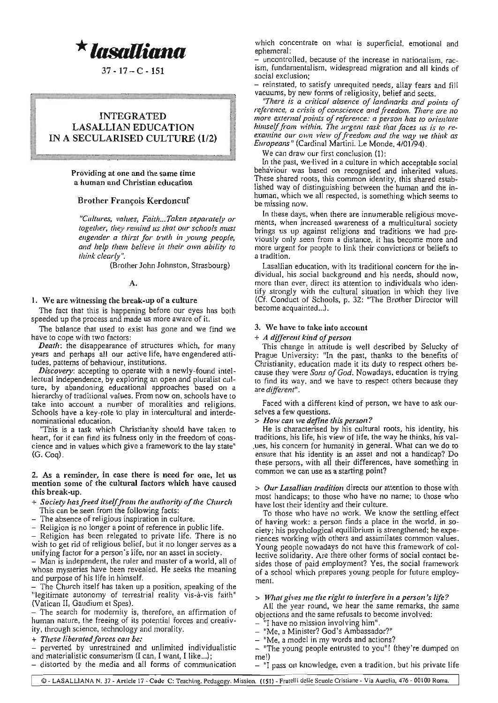**\****lasalliana*

 $37 - 17 - C - 151$ 

# INTEGRATED LASALLIAN EDUCATION IN A SECULARISED CULTURE (112)

## **Providing at one and the same time a human and Christian education**

.-

## Brother François Kerdoncuf

*"Cultures. values, Faith. .. Taken separately or together, they remind us that our schools must engender a thirst for truth in young people, and help them believe in their* **OWII** *ability to think clearly"*.

(Brother John Johnston, Strasbourg)

## A.

## **1. We are witnessing the break-up of a culture**

The fact that this is happening before our eyes has both **speeded up the process and made us more aware of it.**

**The balance that used to exist has gone and we find we have to cope with two factors:**

*Dealh:* the disappearance of structures which. for many **years and perhaps all OUT active life, have engendered attitudes, patterns of behaviour, institutions.**

*Discovery:* accepting to operate with a newly-found intellectual independence. by exploring an open and pluralist culture, by abandoning educational approaches based on a **hierarchy of traditional values. From now on, schools have to take into account a number of moralities and religions.** Schools have a key-role to play in intercultural and interde**nominational education.**

"This is a task which Christianity should have taken to heart, for it can find its fulness only in the freedom of cons**cience and in values which give a framework to the lay statell** (G. Coq).

#### **2. As a reminder, in case there is need for one, let us mention some of the cultural factors which have caused** this break-up.

- + *Society Irasfreed ilselffrol1l* Ihe *authority ofthe Churclr* This can be seen from the following facts:
- **- The absence of religious inspiration in culture.**
- **- Religion is no longer a point of reference in public life.**

- Religion has been relegated 10 private life. There is no **wish to get rid of religious belief, but it no longer serves as a unifying factor for a person's life, nor an asset in society.**

- Man is independent, the ruler and master of a world, all of whose mysteries have been revealed. He seeks the meaning and purpose of his life in himself.

- The Church itself has taken up a position, speaking of the "legitimate autonomy of terrestrial reality vis-à-vis faith" (Vatican II, Gaudium et Spes).

- The search for modernity is, therefore, an affirmation of **human nature, the freeing of its potential forces and creativ**ity, through science. technology and morality.

**+** *These liberatedforces can be:*

- perverted by unrestrained and unlimited individualistic **and materialistic consumerism (I can, I want, I like...);** - distorted by the media and all forms of communication **which concentrate on what is superficial, emotional and** ephemeral:

**- uncontrolled, because of the increase in nationalism, racism, fundamentalism, widespread migration and all kinds of social exclusion;**

- reinstated, to satisfy unrequited needs, allay fears and fill **vacuums, by new forms of religiosity, belief and sects.**

*"There is a critical absence of landmarks and points of reference, a crisis of conscience andfreedom. There are no more external points ofreference: a person has to orientate himselffrom within. The .urgent task that faces liS is to reexamine our own view offreedom and the way we think as Europeans"* (Cardinal Martini. Le Monde, 4/01/94).

**\Ve can draw our first conclusion (1):**

**In the past, \ve-lived in a culture in which acceptable social behaviour was based on recogn.ised and inherited values. These shared roots, this common identity, this shared estab**lished way of distinguishing between the human and the in**human, which we all respected, is something which seems to be missing now.**

**In these days, when there are innumerable religious movements, when increased awareness of a multicultural society** brings us up against religions and traditions we had pre**viously only seen from a distance, it has become more and more urgent for people to link their convictions or beliefs to a tradition.**

**Lasallian education, with its traditional concern for the individual, his social background and his needs, should now, more than ever, direct its attention to individuals who iden**tify strongly with the cultural situation in which they live (Cf. Conduct of Schools, p. 32: "The Brother Director will **become acquainted...).**

## **3. We have to take into account**

#### $+$  *A* different kind of person

This change in attitude is well described by Selucky of **Prague University: "In the past, thanks to the benefits of** Christianity, education made it its duty to respect others because they were Sons of God. Nowadays, education is trying **to find its way, and we have to respect others because they are** *different".*

**Faced with a different kind of person, we have to ask ourselves a few questions.**

### **>** *How can we define tlris person?*

**He is characterised by his cultural roots, his identity, his** traditions, his life, his view of life, the way he thinks, his val- **.ues, his concern for humanity in general. What can we do to ensure that his identity is an asset and not a handicap? Do** these persons, with all their differences, have something in **common we can use as a starting point?**

**>** *Our Lasallian tradition* **directs our attention to those with most handicaps: to those who have no name; to those who** have lost their identity and their culture.

To those who have no work. We know the settling effect **of having work: a person finds a place in the world. in so**ciety; his psychological equilibrium is strengthened; he expe**riences working with others and assimilates common values.** Young people nowadays do not have this framework of collective solidarity. Are there other fonns of social contact besides those of paid employment? Yes, the social framework of a school which prepares young people for future employ**ment.**

#### **>** *What gives me tire right* **10** *interfere in a person's life?*

**All the year round, we hear the same remarks, the same objections and the same refusals to become involved:**

- **- "l have no mission involving him".**
- **- "Me, a Minister? God's Ambassador?"**
- **- liMe, a model in my words and actions?**

- "The young people entrusted to you"! (they're dumped on me!)

**- "I pass on knowledge, even a tradition, but his private life**